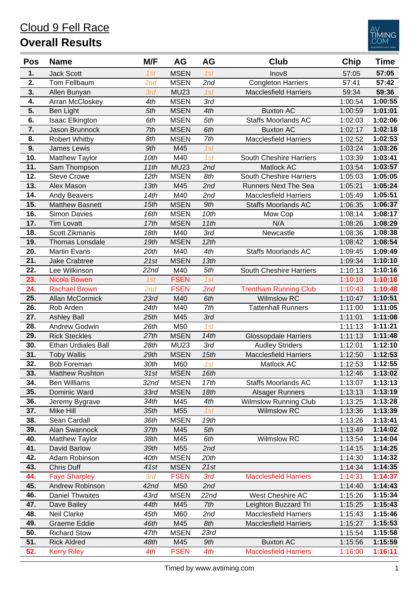#### **1.** Jack Scott *1st* MSEN *1st* Inov8 57:05 **57:05 2.** Tom Fellbaum *2nd* MSEN *2nd* Congleton Harriers 57:41 **57:42 3.** Allen Bunyan *3rd* MU23 *1st* Macclesfield Harriers 59:34 **59:36 4.** Arran McCloskey *4th* MSEN *3rd* 1:00:54 **1:00:55 5.** Ben Light *5th* MSEN *4th* Buxton AC 1:00:59 **1:01:01 6.** Isaac Elkington *6th* MSEN *5th* Staffs Moorlands AC 1:02:03 **1:02:06 7.** Jason Brunnock *7th* MSEN *6th* Buxton AC 1:02:17 **1:02:18 8.** Robert Whitby *8th* MSEN *7th* Macclesfield Harriers 1:02:52 **1:02:53 9.** James Lewis *9th* M45 *1st* 1:03:24 **1:03:26 10.** Matthew Taylor *10th* M40 *1st* South Cheshire Harriers 1:03:39 **1:03:41 11.** Sam Thompson *11th* MU23 *2nd* Matlock AC 1:03:54 **1:03:57 12.** Steve Crowe *12th* MSEN *8th* South Cheshire Harriers 1:05:03 **1:05:05 13.** Alex Mason *13th* M45 *2nd* Runners Next The Sea 1:05:21 **1:05:24 14.** Andy Beavers *14th* M40 *2nd* Macclesfield Harriers 1:05:49 **1:05:51 15.** Matthew Basnett *15th* MSEN *9th* Staffs Moorlands AC 1:06:35 **1:06:37 16.** Simon Davies *16th* MSEN *10th* Mow Cop 1:08:14 **1:08:17 17.** Tim Lovatt *17th* MSEN *11th* N/A 1:08:26 **1:08:29 18.** Scott Zikmanis *18th* M40 *3rd* Newcastle 1:08:36 **1:08:38 19.** Thomas Lonsdale *19th* MSEN *12th* 1:08:42 **1:08:54 20.** Martin Evans *20th* M40 *4th* Staffs Moorlands AC 1:09:45 **1:09:49 21.** Jake Crabtree *21st* MSEN *13th* 1:09:34 **1:10:10 22.** Lee Wilkinson *22nd* M40 *5th* South Cheshire Harriers 1:10:13 **1:10:16 23.** Nicola Bowen *1st* FSEN *1st* 1:10:10 **1:10:18 24.** Rachael Brown *2nd* FSEN *2nd* Trentham Running Club 1:10:43 **1:10:48 25.** Allan McCormick *23rd* M40 *6th* Wilmslow RC 1:10:47 **1:10:51 26.** Rob Arden *24th* M40 *7th* Tattenhall Runners 1:11:00 **1:11:05 27.** Ashley Ball *25th* M45 *3rd* 1:11:01 **1:11:08 28.** Andrew Godwin *26th* M50 *1st* 1:11:13 **1:11:21 29.** Rick Steckles *27th* MSEN *14th* Glossopdale Harriers 1:11:13 **1:11:48 30.** Ethan Urdiales Ball *28th* MU23 *3rd* Audley Striders 1:12:01 **1:12:10 31.** Toby Wallis *29th* MSEN *15th* Macclesfield Harriers 1:12:50 **1:12:53 32.** Bob Foreman *30th* M60 *1st* Matlock AC 1:12:53 **1:12:55 33.** Matthew Rushton *31st* MSEN *16th* 1:12:46 **1:13:02 34.** Ben Williams *32nd* MSEN *17th* Staffs Moorlands AC 1:13:07 **1:13:13 35.** Dominic Ward *33rd* MSEN *18th* Alsager Runners 1:13:13 **1:13:19 36.** Jeremy Bygrave *34th* M45 *4th* Wilmslow Running Club 1:13:25 **1:13:28 37.** Mike Hill *35th* M55 *1st* Wilmslow RC 1:13:36 **1:13:39 38.** Sean Cardall *36th* MSEN *19th* 1:13:26 **1:13:41 39.** Alan Swannock *37th* M45 *5th* 1:13:49 **1:14:02 40.** Matthew Taylor *38th* M45 *6th* Wilmslow RC 1:13:54 **1:14:04 41.** David Barlow *39th* M55 *2nd* 1:14:15 **1:14:25 42.** Adam Robinson *40th* MSEN *20th* 1:14:30 **1:14:32 43.** Chris Duff *41st* MSEN *21st* 1:14:34 **1:14:35 44.** Faye Sharpley *3rd* FSEN *3rd* Macclesfield Harriers 1:14:31 **1:14:37 45.** Andrew Robinson *42nd* M50 *2nd* 1:14:40 **1:14:43 46.** Daniel Thwaites *43rd* MSEN *22nd* West Cheshire AC 1:15:26 **1:15:34 47.** Dave Bailey *44th* M45 *7th* Leighton Buzzard Tri 1:15:25 **1:15:43 48.** Neil Clarke *45th* M60 *2nd* Macclesfield Harriers 1:15:43 **1:15:46 49.** Graeme Eddie *46th* M45 *8th* Macclesfield Harriers 1:15:27 **1:15:53 50.** Richard Stow *47th* MSEN *23rd* 1:15:54 **1:15:58 51.** Rick Aldred *48th* M45 *9th* Buxton AC 1:15:56 **1:15:59 Pos Name M/F AG AG Club Chip Time**

**52.** Kerry Riley *4th* FSEN *4th* Macclesfield Harriers 1:16:00 **1:16:11**

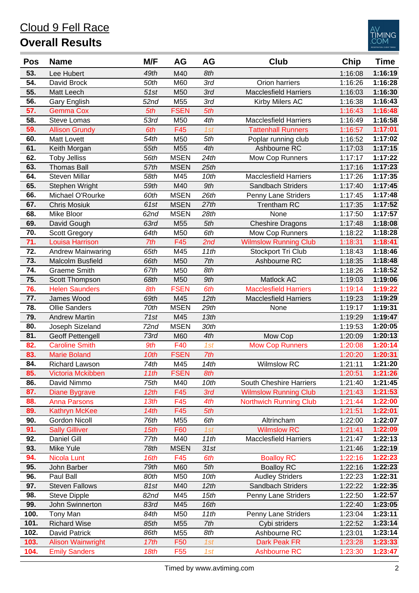

| 1:16:19<br>49th<br>8th<br>53.<br>Lee Hubert<br>M40<br>1:16:08<br>3rd<br>1:16:28<br>54.<br>David Brock<br>50th<br>M60<br>Orion harriers<br>1:16:26<br>55.<br>3rd<br>1:16:30<br>51st<br>M50<br><b>Macclesfield Harriers</b><br><b>Matt Leech</b><br>1:16:03<br>M55<br>3rd<br>Kirby Milers AC<br>1:16:43<br>56.<br><b>Gary English</b><br>52 <sub>nd</sub><br>1:16:38<br>5th<br>5th<br>1:16:48<br>57.<br><b>FSEN</b><br><b>Gemma Cox</b><br>1:16:43<br>1:16:58<br>58.<br><b>Steve Lomas</b><br>53rd<br>M50<br>4th<br><b>Macclesfield Harriers</b><br>1:16:49<br>F45<br>1:17:01<br>59.<br>6th<br>1st<br><b>Tattenhall Runners</b><br><b>Allison Grundy</b><br>1:16:57<br>M50<br>1:17:02<br>60.<br><b>Matt Lovett</b><br>54th<br>5th<br>1:16:52<br>Poplar running club<br>1:17:15<br>4th<br>61.<br>55th<br>M55<br>Ashbourne RC<br>1:17:03<br>Keith Morgan<br>1:17:22<br><b>MSEN</b><br>24th<br>62.<br><b>Toby Jelliss</b><br>56th<br>Mow Cop Runners<br>1:17:17<br>1:17:23<br>63.<br><b>Thomas Ball</b><br><b>MSEN</b><br>25th<br>57th<br>1:17:16<br>M45<br>10th<br><b>Macclesfield Harriers</b><br>1:17:35<br>64.<br><b>Steven Millar</b><br>58th<br>1:17:26<br>1:17:45<br>65.<br>M40<br>9th<br>Stephen Wright<br>59th<br>Sandbach Striders<br>1:17:40<br><b>MSEN</b><br>26th<br>1:17:48<br>66.<br>Michael O'Rourke<br>60th<br>Penny Lane Striders<br>1:17:45<br>1:17:52<br><b>MSEN</b><br>27th<br><b>Trentham RC</b><br>67.<br><b>Chris Mosiuk</b><br>1:17:35<br>61st<br><b>MSEN</b><br>28th<br>1:17:57<br>68.<br>Mike Bloor<br>62 <sub>nd</sub><br>None<br>1:17:50<br>1:18:08<br>69.<br>5th<br><b>Cheshire Dragons</b><br>63rd<br>M55<br>David Gough<br>1:17:48<br>M50<br>6th<br>1:18:28<br>70.<br><b>Scott Gregory</b><br>64th<br>Mow Cop Runners<br>1:18:22<br>1:18:41<br>71.<br>F45<br>2nd<br><b>Wilmslow Running Club</b><br><b>Louisa Harrison</b><br>7th<br>1:18:31<br>72.<br>M45<br>11th<br>Stockport Tri Club<br>1:18:46<br><b>Andrew Mainwaring</b><br>65th<br>1:18:43<br>73.<br>1:18:48<br>M50<br>7th<br>Malcolm Busfield<br>66th<br>Ashbourne RC<br>1:18:35<br>8th<br>1:18:52<br>74.<br>Graeme Smith<br>67th<br>M50<br>1:18:26<br>1:19:06<br>75.<br>M50<br>9th<br>Matlock AC<br>Scott Thompson<br>68th<br>1:19:03<br><b>Helen Saunders</b><br><b>FSEN</b><br>6th<br><b>Macclesfield Harriers</b><br>1:19:22<br>76.<br>8th<br>1:19:14<br>77.<br>1:19:29<br>James Wood<br>M45<br>12th<br>69th<br><b>Macclesfield Harriers</b><br>1:19:23<br><b>MSEN</b><br>29th<br>1:19:31<br>78.<br><b>Ollie Sanders</b><br>70th<br>None<br>1:19:17<br>1:19:47<br>79.<br><b>Andrew Martin</b><br>M45<br>13th<br>71st<br>1:19:29<br><b>MSEN</b><br>30th<br>1:20:05<br>80.<br>Joseph Sizeland<br>72nd<br>1:19:53<br>1:20:13<br>81.<br>M60<br>4th<br><b>Geoff Pettengell</b><br>73rd<br>Mow Cop<br>1:20:09<br>1:20:14<br>82.<br>F40<br>1st<br><b>Mow Cop Runners</b><br><b>Caroline Smith</b><br>9th<br>1:20:08<br><b>FSEN</b><br>7th<br>1:20:31<br>83.<br>10th<br><b>Marie Boland</b><br>1:20:20<br>M45<br>1:21:20<br>84.<br>Richard Lawson<br>74th<br>14th<br><b>Wilmslow RC</b><br>1:21:11<br>85.<br>Victoria Mckibben<br>11th<br><b>FSEN</b><br>8th<br>1:20:51<br>1:21:26<br>75th<br>1:21:45<br>86.<br>David Nimmo<br>M40<br>10th<br>South Cheshire Harriers<br>1:21:40<br>87.<br>F45<br>3rd<br>1:21:53<br>12th<br><b>Wilmslow Running Club</b><br>1:21:43<br><b>Diane Bygrave</b><br>F45<br><b>Anna Parsons</b><br>13th<br>4th<br><b>Northwich Running Club</b><br>1:22:00<br>88.<br>1:21:44<br>89.<br>1:22:01<br><b>Kathryn McKee</b><br>14th<br>F45<br>5th<br>1:21:51<br>M55<br>6th<br>1:22:07<br>90.<br><b>Gordon Nicoll</b><br>76th<br>Altrincham<br>1:22:00<br>91.<br><b>Wilmslow RC</b><br>1:22:09<br><b>Sally Gilliver</b><br>15th<br>F60<br>1:21:41<br>1st<br>Daniel Gill<br>M40<br>11th<br><b>Macclesfield Harriers</b><br>1:22:13<br>92.<br>77th<br>1:21:47<br>1:22:19<br>93.<br>Mike Yule<br><b>MSEN</b><br>31st<br>78th<br>1:21:46<br>F45<br><b>Nicola Lunt</b><br>6th<br><b>Boalloy RC</b><br>1:22:16<br>1:22:23<br>94.<br>16th<br>95.<br>5th<br><b>Boalloy RC</b><br>1:22:23<br>John Barber<br>79th<br>M60<br>1:22:16<br>Paul Ball<br>M50<br>10th<br><b>Audley Striders</b><br>1:22:31<br>96.<br>80th<br>1:22:23<br>12th<br>1:22:35<br>97.<br><b>Steven Fallows</b><br>M40<br>Sandbach Striders<br>81st<br>1:22:22<br>M45<br>15th<br>Penny Lane Striders<br>98.<br><b>Steve Dipple</b><br>82nd<br>1:22:57<br>1:22:50<br>99.<br>16th<br>1:23:05<br>John Swinnerton<br>83rd<br>M45<br>1:22:40<br>100.<br>Tony Man<br>M50<br>11th<br>Penny Lane Striders<br>1:23:11<br>84th<br>1:23:04<br>1:23:14<br>101.<br><b>Richard Wise</b><br>7th<br>85th<br>M55<br>Cybi striders<br>1:22:52<br>Ashbourne RC<br>102.<br>David Patrick<br>86th<br>M55<br>8th<br>1:23:14<br>1:23:01<br>103.<br>1:23:33<br><b>Alison Wainwright</b><br>17th<br>F50<br>Dark Peak FR<br>1:23:28<br>1st | <b>Pos</b> | <b>Name</b>          | M/F  | AG              | AG  | Club                | Chip    | <b>Time</b> |
|------------------------------------------------------------------------------------------------------------------------------------------------------------------------------------------------------------------------------------------------------------------------------------------------------------------------------------------------------------------------------------------------------------------------------------------------------------------------------------------------------------------------------------------------------------------------------------------------------------------------------------------------------------------------------------------------------------------------------------------------------------------------------------------------------------------------------------------------------------------------------------------------------------------------------------------------------------------------------------------------------------------------------------------------------------------------------------------------------------------------------------------------------------------------------------------------------------------------------------------------------------------------------------------------------------------------------------------------------------------------------------------------------------------------------------------------------------------------------------------------------------------------------------------------------------------------------------------------------------------------------------------------------------------------------------------------------------------------------------------------------------------------------------------------------------------------------------------------------------------------------------------------------------------------------------------------------------------------------------------------------------------------------------------------------------------------------------------------------------------------------------------------------------------------------------------------------------------------------------------------------------------------------------------------------------------------------------------------------------------------------------------------------------------------------------------------------------------------------------------------------------------------------------------------------------------------------------------------------------------------------------------------------------------------------------------------------------------------------------------------------------------------------------------------------------------------------------------------------------------------------------------------------------------------------------------------------------------------------------------------------------------------------------------------------------------------------------------------------------------------------------------------------------------------------------------------------------------------------------------------------------------------------------------------------------------------------------------------------------------------------------------------------------------------------------------------------------------------------------------------------------------------------------------------------------------------------------------------------------------------------------------------------------------------------------------------------------------------------------------------------------------------------------------------------------------------------------------------------------------------------------------------------------------------------------------------------------------------------------------------------------------------------------------------------------------------------------------------------------------------------------------------------------------------------------------------------------------------------------------------------------------------------------------------------------------------------------------------------------------------------------------------------------------------------------------------------------------------------------------------------------------------------------------------------------------------------------------------------------------------------------------------------------------------------------------------------------------------------------------------------------------------------------------------------------------------------------------------------------------------------|------------|----------------------|------|-----------------|-----|---------------------|---------|-------------|
|                                                                                                                                                                                                                                                                                                                                                                                                                                                                                                                                                                                                                                                                                                                                                                                                                                                                                                                                                                                                                                                                                                                                                                                                                                                                                                                                                                                                                                                                                                                                                                                                                                                                                                                                                                                                                                                                                                                                                                                                                                                                                                                                                                                                                                                                                                                                                                                                                                                                                                                                                                                                                                                                                                                                                                                                                                                                                                                                                                                                                                                                                                                                                                                                                                                                                                                                                                                                                                                                                                                                                                                                                                                                                                                                                                                                                                                                                                                                                                                                                                                                                                                                                                                                                                                                                                                                                                                                                                                                                                                                                                                                                                                                                                                                                                                                                                                                              |            |                      |      |                 |     |                     |         |             |
|                                                                                                                                                                                                                                                                                                                                                                                                                                                                                                                                                                                                                                                                                                                                                                                                                                                                                                                                                                                                                                                                                                                                                                                                                                                                                                                                                                                                                                                                                                                                                                                                                                                                                                                                                                                                                                                                                                                                                                                                                                                                                                                                                                                                                                                                                                                                                                                                                                                                                                                                                                                                                                                                                                                                                                                                                                                                                                                                                                                                                                                                                                                                                                                                                                                                                                                                                                                                                                                                                                                                                                                                                                                                                                                                                                                                                                                                                                                                                                                                                                                                                                                                                                                                                                                                                                                                                                                                                                                                                                                                                                                                                                                                                                                                                                                                                                                                              |            |                      |      |                 |     |                     |         |             |
|                                                                                                                                                                                                                                                                                                                                                                                                                                                                                                                                                                                                                                                                                                                                                                                                                                                                                                                                                                                                                                                                                                                                                                                                                                                                                                                                                                                                                                                                                                                                                                                                                                                                                                                                                                                                                                                                                                                                                                                                                                                                                                                                                                                                                                                                                                                                                                                                                                                                                                                                                                                                                                                                                                                                                                                                                                                                                                                                                                                                                                                                                                                                                                                                                                                                                                                                                                                                                                                                                                                                                                                                                                                                                                                                                                                                                                                                                                                                                                                                                                                                                                                                                                                                                                                                                                                                                                                                                                                                                                                                                                                                                                                                                                                                                                                                                                                                              |            |                      |      |                 |     |                     |         |             |
|                                                                                                                                                                                                                                                                                                                                                                                                                                                                                                                                                                                                                                                                                                                                                                                                                                                                                                                                                                                                                                                                                                                                                                                                                                                                                                                                                                                                                                                                                                                                                                                                                                                                                                                                                                                                                                                                                                                                                                                                                                                                                                                                                                                                                                                                                                                                                                                                                                                                                                                                                                                                                                                                                                                                                                                                                                                                                                                                                                                                                                                                                                                                                                                                                                                                                                                                                                                                                                                                                                                                                                                                                                                                                                                                                                                                                                                                                                                                                                                                                                                                                                                                                                                                                                                                                                                                                                                                                                                                                                                                                                                                                                                                                                                                                                                                                                                                              |            |                      |      |                 |     |                     |         |             |
|                                                                                                                                                                                                                                                                                                                                                                                                                                                                                                                                                                                                                                                                                                                                                                                                                                                                                                                                                                                                                                                                                                                                                                                                                                                                                                                                                                                                                                                                                                                                                                                                                                                                                                                                                                                                                                                                                                                                                                                                                                                                                                                                                                                                                                                                                                                                                                                                                                                                                                                                                                                                                                                                                                                                                                                                                                                                                                                                                                                                                                                                                                                                                                                                                                                                                                                                                                                                                                                                                                                                                                                                                                                                                                                                                                                                                                                                                                                                                                                                                                                                                                                                                                                                                                                                                                                                                                                                                                                                                                                                                                                                                                                                                                                                                                                                                                                                              |            |                      |      |                 |     |                     |         |             |
|                                                                                                                                                                                                                                                                                                                                                                                                                                                                                                                                                                                                                                                                                                                                                                                                                                                                                                                                                                                                                                                                                                                                                                                                                                                                                                                                                                                                                                                                                                                                                                                                                                                                                                                                                                                                                                                                                                                                                                                                                                                                                                                                                                                                                                                                                                                                                                                                                                                                                                                                                                                                                                                                                                                                                                                                                                                                                                                                                                                                                                                                                                                                                                                                                                                                                                                                                                                                                                                                                                                                                                                                                                                                                                                                                                                                                                                                                                                                                                                                                                                                                                                                                                                                                                                                                                                                                                                                                                                                                                                                                                                                                                                                                                                                                                                                                                                                              |            |                      |      |                 |     |                     |         |             |
|                                                                                                                                                                                                                                                                                                                                                                                                                                                                                                                                                                                                                                                                                                                                                                                                                                                                                                                                                                                                                                                                                                                                                                                                                                                                                                                                                                                                                                                                                                                                                                                                                                                                                                                                                                                                                                                                                                                                                                                                                                                                                                                                                                                                                                                                                                                                                                                                                                                                                                                                                                                                                                                                                                                                                                                                                                                                                                                                                                                                                                                                                                                                                                                                                                                                                                                                                                                                                                                                                                                                                                                                                                                                                                                                                                                                                                                                                                                                                                                                                                                                                                                                                                                                                                                                                                                                                                                                                                                                                                                                                                                                                                                                                                                                                                                                                                                                              |            |                      |      |                 |     |                     |         |             |
|                                                                                                                                                                                                                                                                                                                                                                                                                                                                                                                                                                                                                                                                                                                                                                                                                                                                                                                                                                                                                                                                                                                                                                                                                                                                                                                                                                                                                                                                                                                                                                                                                                                                                                                                                                                                                                                                                                                                                                                                                                                                                                                                                                                                                                                                                                                                                                                                                                                                                                                                                                                                                                                                                                                                                                                                                                                                                                                                                                                                                                                                                                                                                                                                                                                                                                                                                                                                                                                                                                                                                                                                                                                                                                                                                                                                                                                                                                                                                                                                                                                                                                                                                                                                                                                                                                                                                                                                                                                                                                                                                                                                                                                                                                                                                                                                                                                                              |            |                      |      |                 |     |                     |         |             |
|                                                                                                                                                                                                                                                                                                                                                                                                                                                                                                                                                                                                                                                                                                                                                                                                                                                                                                                                                                                                                                                                                                                                                                                                                                                                                                                                                                                                                                                                                                                                                                                                                                                                                                                                                                                                                                                                                                                                                                                                                                                                                                                                                                                                                                                                                                                                                                                                                                                                                                                                                                                                                                                                                                                                                                                                                                                                                                                                                                                                                                                                                                                                                                                                                                                                                                                                                                                                                                                                                                                                                                                                                                                                                                                                                                                                                                                                                                                                                                                                                                                                                                                                                                                                                                                                                                                                                                                                                                                                                                                                                                                                                                                                                                                                                                                                                                                                              |            |                      |      |                 |     |                     |         |             |
|                                                                                                                                                                                                                                                                                                                                                                                                                                                                                                                                                                                                                                                                                                                                                                                                                                                                                                                                                                                                                                                                                                                                                                                                                                                                                                                                                                                                                                                                                                                                                                                                                                                                                                                                                                                                                                                                                                                                                                                                                                                                                                                                                                                                                                                                                                                                                                                                                                                                                                                                                                                                                                                                                                                                                                                                                                                                                                                                                                                                                                                                                                                                                                                                                                                                                                                                                                                                                                                                                                                                                                                                                                                                                                                                                                                                                                                                                                                                                                                                                                                                                                                                                                                                                                                                                                                                                                                                                                                                                                                                                                                                                                                                                                                                                                                                                                                                              |            |                      |      |                 |     |                     |         |             |
|                                                                                                                                                                                                                                                                                                                                                                                                                                                                                                                                                                                                                                                                                                                                                                                                                                                                                                                                                                                                                                                                                                                                                                                                                                                                                                                                                                                                                                                                                                                                                                                                                                                                                                                                                                                                                                                                                                                                                                                                                                                                                                                                                                                                                                                                                                                                                                                                                                                                                                                                                                                                                                                                                                                                                                                                                                                                                                                                                                                                                                                                                                                                                                                                                                                                                                                                                                                                                                                                                                                                                                                                                                                                                                                                                                                                                                                                                                                                                                                                                                                                                                                                                                                                                                                                                                                                                                                                                                                                                                                                                                                                                                                                                                                                                                                                                                                                              |            |                      |      |                 |     |                     |         |             |
|                                                                                                                                                                                                                                                                                                                                                                                                                                                                                                                                                                                                                                                                                                                                                                                                                                                                                                                                                                                                                                                                                                                                                                                                                                                                                                                                                                                                                                                                                                                                                                                                                                                                                                                                                                                                                                                                                                                                                                                                                                                                                                                                                                                                                                                                                                                                                                                                                                                                                                                                                                                                                                                                                                                                                                                                                                                                                                                                                                                                                                                                                                                                                                                                                                                                                                                                                                                                                                                                                                                                                                                                                                                                                                                                                                                                                                                                                                                                                                                                                                                                                                                                                                                                                                                                                                                                                                                                                                                                                                                                                                                                                                                                                                                                                                                                                                                                              |            |                      |      |                 |     |                     |         |             |
|                                                                                                                                                                                                                                                                                                                                                                                                                                                                                                                                                                                                                                                                                                                                                                                                                                                                                                                                                                                                                                                                                                                                                                                                                                                                                                                                                                                                                                                                                                                                                                                                                                                                                                                                                                                                                                                                                                                                                                                                                                                                                                                                                                                                                                                                                                                                                                                                                                                                                                                                                                                                                                                                                                                                                                                                                                                                                                                                                                                                                                                                                                                                                                                                                                                                                                                                                                                                                                                                                                                                                                                                                                                                                                                                                                                                                                                                                                                                                                                                                                                                                                                                                                                                                                                                                                                                                                                                                                                                                                                                                                                                                                                                                                                                                                                                                                                                              |            |                      |      |                 |     |                     |         |             |
|                                                                                                                                                                                                                                                                                                                                                                                                                                                                                                                                                                                                                                                                                                                                                                                                                                                                                                                                                                                                                                                                                                                                                                                                                                                                                                                                                                                                                                                                                                                                                                                                                                                                                                                                                                                                                                                                                                                                                                                                                                                                                                                                                                                                                                                                                                                                                                                                                                                                                                                                                                                                                                                                                                                                                                                                                                                                                                                                                                                                                                                                                                                                                                                                                                                                                                                                                                                                                                                                                                                                                                                                                                                                                                                                                                                                                                                                                                                                                                                                                                                                                                                                                                                                                                                                                                                                                                                                                                                                                                                                                                                                                                                                                                                                                                                                                                                                              |            |                      |      |                 |     |                     |         |             |
|                                                                                                                                                                                                                                                                                                                                                                                                                                                                                                                                                                                                                                                                                                                                                                                                                                                                                                                                                                                                                                                                                                                                                                                                                                                                                                                                                                                                                                                                                                                                                                                                                                                                                                                                                                                                                                                                                                                                                                                                                                                                                                                                                                                                                                                                                                                                                                                                                                                                                                                                                                                                                                                                                                                                                                                                                                                                                                                                                                                                                                                                                                                                                                                                                                                                                                                                                                                                                                                                                                                                                                                                                                                                                                                                                                                                                                                                                                                                                                                                                                                                                                                                                                                                                                                                                                                                                                                                                                                                                                                                                                                                                                                                                                                                                                                                                                                                              |            |                      |      |                 |     |                     |         |             |
|                                                                                                                                                                                                                                                                                                                                                                                                                                                                                                                                                                                                                                                                                                                                                                                                                                                                                                                                                                                                                                                                                                                                                                                                                                                                                                                                                                                                                                                                                                                                                                                                                                                                                                                                                                                                                                                                                                                                                                                                                                                                                                                                                                                                                                                                                                                                                                                                                                                                                                                                                                                                                                                                                                                                                                                                                                                                                                                                                                                                                                                                                                                                                                                                                                                                                                                                                                                                                                                                                                                                                                                                                                                                                                                                                                                                                                                                                                                                                                                                                                                                                                                                                                                                                                                                                                                                                                                                                                                                                                                                                                                                                                                                                                                                                                                                                                                                              |            |                      |      |                 |     |                     |         |             |
|                                                                                                                                                                                                                                                                                                                                                                                                                                                                                                                                                                                                                                                                                                                                                                                                                                                                                                                                                                                                                                                                                                                                                                                                                                                                                                                                                                                                                                                                                                                                                                                                                                                                                                                                                                                                                                                                                                                                                                                                                                                                                                                                                                                                                                                                                                                                                                                                                                                                                                                                                                                                                                                                                                                                                                                                                                                                                                                                                                                                                                                                                                                                                                                                                                                                                                                                                                                                                                                                                                                                                                                                                                                                                                                                                                                                                                                                                                                                                                                                                                                                                                                                                                                                                                                                                                                                                                                                                                                                                                                                                                                                                                                                                                                                                                                                                                                                              |            |                      |      |                 |     |                     |         |             |
|                                                                                                                                                                                                                                                                                                                                                                                                                                                                                                                                                                                                                                                                                                                                                                                                                                                                                                                                                                                                                                                                                                                                                                                                                                                                                                                                                                                                                                                                                                                                                                                                                                                                                                                                                                                                                                                                                                                                                                                                                                                                                                                                                                                                                                                                                                                                                                                                                                                                                                                                                                                                                                                                                                                                                                                                                                                                                                                                                                                                                                                                                                                                                                                                                                                                                                                                                                                                                                                                                                                                                                                                                                                                                                                                                                                                                                                                                                                                                                                                                                                                                                                                                                                                                                                                                                                                                                                                                                                                                                                                                                                                                                                                                                                                                                                                                                                                              |            |                      |      |                 |     |                     |         |             |
|                                                                                                                                                                                                                                                                                                                                                                                                                                                                                                                                                                                                                                                                                                                                                                                                                                                                                                                                                                                                                                                                                                                                                                                                                                                                                                                                                                                                                                                                                                                                                                                                                                                                                                                                                                                                                                                                                                                                                                                                                                                                                                                                                                                                                                                                                                                                                                                                                                                                                                                                                                                                                                                                                                                                                                                                                                                                                                                                                                                                                                                                                                                                                                                                                                                                                                                                                                                                                                                                                                                                                                                                                                                                                                                                                                                                                                                                                                                                                                                                                                                                                                                                                                                                                                                                                                                                                                                                                                                                                                                                                                                                                                                                                                                                                                                                                                                                              |            |                      |      |                 |     |                     |         |             |
|                                                                                                                                                                                                                                                                                                                                                                                                                                                                                                                                                                                                                                                                                                                                                                                                                                                                                                                                                                                                                                                                                                                                                                                                                                                                                                                                                                                                                                                                                                                                                                                                                                                                                                                                                                                                                                                                                                                                                                                                                                                                                                                                                                                                                                                                                                                                                                                                                                                                                                                                                                                                                                                                                                                                                                                                                                                                                                                                                                                                                                                                                                                                                                                                                                                                                                                                                                                                                                                                                                                                                                                                                                                                                                                                                                                                                                                                                                                                                                                                                                                                                                                                                                                                                                                                                                                                                                                                                                                                                                                                                                                                                                                                                                                                                                                                                                                                              |            |                      |      |                 |     |                     |         |             |
|                                                                                                                                                                                                                                                                                                                                                                                                                                                                                                                                                                                                                                                                                                                                                                                                                                                                                                                                                                                                                                                                                                                                                                                                                                                                                                                                                                                                                                                                                                                                                                                                                                                                                                                                                                                                                                                                                                                                                                                                                                                                                                                                                                                                                                                                                                                                                                                                                                                                                                                                                                                                                                                                                                                                                                                                                                                                                                                                                                                                                                                                                                                                                                                                                                                                                                                                                                                                                                                                                                                                                                                                                                                                                                                                                                                                                                                                                                                                                                                                                                                                                                                                                                                                                                                                                                                                                                                                                                                                                                                                                                                                                                                                                                                                                                                                                                                                              |            |                      |      |                 |     |                     |         |             |
|                                                                                                                                                                                                                                                                                                                                                                                                                                                                                                                                                                                                                                                                                                                                                                                                                                                                                                                                                                                                                                                                                                                                                                                                                                                                                                                                                                                                                                                                                                                                                                                                                                                                                                                                                                                                                                                                                                                                                                                                                                                                                                                                                                                                                                                                                                                                                                                                                                                                                                                                                                                                                                                                                                                                                                                                                                                                                                                                                                                                                                                                                                                                                                                                                                                                                                                                                                                                                                                                                                                                                                                                                                                                                                                                                                                                                                                                                                                                                                                                                                                                                                                                                                                                                                                                                                                                                                                                                                                                                                                                                                                                                                                                                                                                                                                                                                                                              |            |                      |      |                 |     |                     |         |             |
|                                                                                                                                                                                                                                                                                                                                                                                                                                                                                                                                                                                                                                                                                                                                                                                                                                                                                                                                                                                                                                                                                                                                                                                                                                                                                                                                                                                                                                                                                                                                                                                                                                                                                                                                                                                                                                                                                                                                                                                                                                                                                                                                                                                                                                                                                                                                                                                                                                                                                                                                                                                                                                                                                                                                                                                                                                                                                                                                                                                                                                                                                                                                                                                                                                                                                                                                                                                                                                                                                                                                                                                                                                                                                                                                                                                                                                                                                                                                                                                                                                                                                                                                                                                                                                                                                                                                                                                                                                                                                                                                                                                                                                                                                                                                                                                                                                                                              |            |                      |      |                 |     |                     |         |             |
|                                                                                                                                                                                                                                                                                                                                                                                                                                                                                                                                                                                                                                                                                                                                                                                                                                                                                                                                                                                                                                                                                                                                                                                                                                                                                                                                                                                                                                                                                                                                                                                                                                                                                                                                                                                                                                                                                                                                                                                                                                                                                                                                                                                                                                                                                                                                                                                                                                                                                                                                                                                                                                                                                                                                                                                                                                                                                                                                                                                                                                                                                                                                                                                                                                                                                                                                                                                                                                                                                                                                                                                                                                                                                                                                                                                                                                                                                                                                                                                                                                                                                                                                                                                                                                                                                                                                                                                                                                                                                                                                                                                                                                                                                                                                                                                                                                                                              |            |                      |      |                 |     |                     |         |             |
|                                                                                                                                                                                                                                                                                                                                                                                                                                                                                                                                                                                                                                                                                                                                                                                                                                                                                                                                                                                                                                                                                                                                                                                                                                                                                                                                                                                                                                                                                                                                                                                                                                                                                                                                                                                                                                                                                                                                                                                                                                                                                                                                                                                                                                                                                                                                                                                                                                                                                                                                                                                                                                                                                                                                                                                                                                                                                                                                                                                                                                                                                                                                                                                                                                                                                                                                                                                                                                                                                                                                                                                                                                                                                                                                                                                                                                                                                                                                                                                                                                                                                                                                                                                                                                                                                                                                                                                                                                                                                                                                                                                                                                                                                                                                                                                                                                                                              |            |                      |      |                 |     |                     |         |             |
|                                                                                                                                                                                                                                                                                                                                                                                                                                                                                                                                                                                                                                                                                                                                                                                                                                                                                                                                                                                                                                                                                                                                                                                                                                                                                                                                                                                                                                                                                                                                                                                                                                                                                                                                                                                                                                                                                                                                                                                                                                                                                                                                                                                                                                                                                                                                                                                                                                                                                                                                                                                                                                                                                                                                                                                                                                                                                                                                                                                                                                                                                                                                                                                                                                                                                                                                                                                                                                                                                                                                                                                                                                                                                                                                                                                                                                                                                                                                                                                                                                                                                                                                                                                                                                                                                                                                                                                                                                                                                                                                                                                                                                                                                                                                                                                                                                                                              |            |                      |      |                 |     |                     |         |             |
|                                                                                                                                                                                                                                                                                                                                                                                                                                                                                                                                                                                                                                                                                                                                                                                                                                                                                                                                                                                                                                                                                                                                                                                                                                                                                                                                                                                                                                                                                                                                                                                                                                                                                                                                                                                                                                                                                                                                                                                                                                                                                                                                                                                                                                                                                                                                                                                                                                                                                                                                                                                                                                                                                                                                                                                                                                                                                                                                                                                                                                                                                                                                                                                                                                                                                                                                                                                                                                                                                                                                                                                                                                                                                                                                                                                                                                                                                                                                                                                                                                                                                                                                                                                                                                                                                                                                                                                                                                                                                                                                                                                                                                                                                                                                                                                                                                                                              |            |                      |      |                 |     |                     |         |             |
|                                                                                                                                                                                                                                                                                                                                                                                                                                                                                                                                                                                                                                                                                                                                                                                                                                                                                                                                                                                                                                                                                                                                                                                                                                                                                                                                                                                                                                                                                                                                                                                                                                                                                                                                                                                                                                                                                                                                                                                                                                                                                                                                                                                                                                                                                                                                                                                                                                                                                                                                                                                                                                                                                                                                                                                                                                                                                                                                                                                                                                                                                                                                                                                                                                                                                                                                                                                                                                                                                                                                                                                                                                                                                                                                                                                                                                                                                                                                                                                                                                                                                                                                                                                                                                                                                                                                                                                                                                                                                                                                                                                                                                                                                                                                                                                                                                                                              |            |                      |      |                 |     |                     |         |             |
|                                                                                                                                                                                                                                                                                                                                                                                                                                                                                                                                                                                                                                                                                                                                                                                                                                                                                                                                                                                                                                                                                                                                                                                                                                                                                                                                                                                                                                                                                                                                                                                                                                                                                                                                                                                                                                                                                                                                                                                                                                                                                                                                                                                                                                                                                                                                                                                                                                                                                                                                                                                                                                                                                                                                                                                                                                                                                                                                                                                                                                                                                                                                                                                                                                                                                                                                                                                                                                                                                                                                                                                                                                                                                                                                                                                                                                                                                                                                                                                                                                                                                                                                                                                                                                                                                                                                                                                                                                                                                                                                                                                                                                                                                                                                                                                                                                                                              |            |                      |      |                 |     |                     |         |             |
|                                                                                                                                                                                                                                                                                                                                                                                                                                                                                                                                                                                                                                                                                                                                                                                                                                                                                                                                                                                                                                                                                                                                                                                                                                                                                                                                                                                                                                                                                                                                                                                                                                                                                                                                                                                                                                                                                                                                                                                                                                                                                                                                                                                                                                                                                                                                                                                                                                                                                                                                                                                                                                                                                                                                                                                                                                                                                                                                                                                                                                                                                                                                                                                                                                                                                                                                                                                                                                                                                                                                                                                                                                                                                                                                                                                                                                                                                                                                                                                                                                                                                                                                                                                                                                                                                                                                                                                                                                                                                                                                                                                                                                                                                                                                                                                                                                                                              |            |                      |      |                 |     |                     |         |             |
|                                                                                                                                                                                                                                                                                                                                                                                                                                                                                                                                                                                                                                                                                                                                                                                                                                                                                                                                                                                                                                                                                                                                                                                                                                                                                                                                                                                                                                                                                                                                                                                                                                                                                                                                                                                                                                                                                                                                                                                                                                                                                                                                                                                                                                                                                                                                                                                                                                                                                                                                                                                                                                                                                                                                                                                                                                                                                                                                                                                                                                                                                                                                                                                                                                                                                                                                                                                                                                                                                                                                                                                                                                                                                                                                                                                                                                                                                                                                                                                                                                                                                                                                                                                                                                                                                                                                                                                                                                                                                                                                                                                                                                                                                                                                                                                                                                                                              |            |                      |      |                 |     |                     |         |             |
|                                                                                                                                                                                                                                                                                                                                                                                                                                                                                                                                                                                                                                                                                                                                                                                                                                                                                                                                                                                                                                                                                                                                                                                                                                                                                                                                                                                                                                                                                                                                                                                                                                                                                                                                                                                                                                                                                                                                                                                                                                                                                                                                                                                                                                                                                                                                                                                                                                                                                                                                                                                                                                                                                                                                                                                                                                                                                                                                                                                                                                                                                                                                                                                                                                                                                                                                                                                                                                                                                                                                                                                                                                                                                                                                                                                                                                                                                                                                                                                                                                                                                                                                                                                                                                                                                                                                                                                                                                                                                                                                                                                                                                                                                                                                                                                                                                                                              |            |                      |      |                 |     |                     |         |             |
|                                                                                                                                                                                                                                                                                                                                                                                                                                                                                                                                                                                                                                                                                                                                                                                                                                                                                                                                                                                                                                                                                                                                                                                                                                                                                                                                                                                                                                                                                                                                                                                                                                                                                                                                                                                                                                                                                                                                                                                                                                                                                                                                                                                                                                                                                                                                                                                                                                                                                                                                                                                                                                                                                                                                                                                                                                                                                                                                                                                                                                                                                                                                                                                                                                                                                                                                                                                                                                                                                                                                                                                                                                                                                                                                                                                                                                                                                                                                                                                                                                                                                                                                                                                                                                                                                                                                                                                                                                                                                                                                                                                                                                                                                                                                                                                                                                                                              |            |                      |      |                 |     |                     |         |             |
|                                                                                                                                                                                                                                                                                                                                                                                                                                                                                                                                                                                                                                                                                                                                                                                                                                                                                                                                                                                                                                                                                                                                                                                                                                                                                                                                                                                                                                                                                                                                                                                                                                                                                                                                                                                                                                                                                                                                                                                                                                                                                                                                                                                                                                                                                                                                                                                                                                                                                                                                                                                                                                                                                                                                                                                                                                                                                                                                                                                                                                                                                                                                                                                                                                                                                                                                                                                                                                                                                                                                                                                                                                                                                                                                                                                                                                                                                                                                                                                                                                                                                                                                                                                                                                                                                                                                                                                                                                                                                                                                                                                                                                                                                                                                                                                                                                                                              |            |                      |      |                 |     |                     |         |             |
|                                                                                                                                                                                                                                                                                                                                                                                                                                                                                                                                                                                                                                                                                                                                                                                                                                                                                                                                                                                                                                                                                                                                                                                                                                                                                                                                                                                                                                                                                                                                                                                                                                                                                                                                                                                                                                                                                                                                                                                                                                                                                                                                                                                                                                                                                                                                                                                                                                                                                                                                                                                                                                                                                                                                                                                                                                                                                                                                                                                                                                                                                                                                                                                                                                                                                                                                                                                                                                                                                                                                                                                                                                                                                                                                                                                                                                                                                                                                                                                                                                                                                                                                                                                                                                                                                                                                                                                                                                                                                                                                                                                                                                                                                                                                                                                                                                                                              |            |                      |      |                 |     |                     |         |             |
|                                                                                                                                                                                                                                                                                                                                                                                                                                                                                                                                                                                                                                                                                                                                                                                                                                                                                                                                                                                                                                                                                                                                                                                                                                                                                                                                                                                                                                                                                                                                                                                                                                                                                                                                                                                                                                                                                                                                                                                                                                                                                                                                                                                                                                                                                                                                                                                                                                                                                                                                                                                                                                                                                                                                                                                                                                                                                                                                                                                                                                                                                                                                                                                                                                                                                                                                                                                                                                                                                                                                                                                                                                                                                                                                                                                                                                                                                                                                                                                                                                                                                                                                                                                                                                                                                                                                                                                                                                                                                                                                                                                                                                                                                                                                                                                                                                                                              |            |                      |      |                 |     |                     |         |             |
|                                                                                                                                                                                                                                                                                                                                                                                                                                                                                                                                                                                                                                                                                                                                                                                                                                                                                                                                                                                                                                                                                                                                                                                                                                                                                                                                                                                                                                                                                                                                                                                                                                                                                                                                                                                                                                                                                                                                                                                                                                                                                                                                                                                                                                                                                                                                                                                                                                                                                                                                                                                                                                                                                                                                                                                                                                                                                                                                                                                                                                                                                                                                                                                                                                                                                                                                                                                                                                                                                                                                                                                                                                                                                                                                                                                                                                                                                                                                                                                                                                                                                                                                                                                                                                                                                                                                                                                                                                                                                                                                                                                                                                                                                                                                                                                                                                                                              |            |                      |      |                 |     |                     |         |             |
|                                                                                                                                                                                                                                                                                                                                                                                                                                                                                                                                                                                                                                                                                                                                                                                                                                                                                                                                                                                                                                                                                                                                                                                                                                                                                                                                                                                                                                                                                                                                                                                                                                                                                                                                                                                                                                                                                                                                                                                                                                                                                                                                                                                                                                                                                                                                                                                                                                                                                                                                                                                                                                                                                                                                                                                                                                                                                                                                                                                                                                                                                                                                                                                                                                                                                                                                                                                                                                                                                                                                                                                                                                                                                                                                                                                                                                                                                                                                                                                                                                                                                                                                                                                                                                                                                                                                                                                                                                                                                                                                                                                                                                                                                                                                                                                                                                                                              |            |                      |      |                 |     |                     |         |             |
|                                                                                                                                                                                                                                                                                                                                                                                                                                                                                                                                                                                                                                                                                                                                                                                                                                                                                                                                                                                                                                                                                                                                                                                                                                                                                                                                                                                                                                                                                                                                                                                                                                                                                                                                                                                                                                                                                                                                                                                                                                                                                                                                                                                                                                                                                                                                                                                                                                                                                                                                                                                                                                                                                                                                                                                                                                                                                                                                                                                                                                                                                                                                                                                                                                                                                                                                                                                                                                                                                                                                                                                                                                                                                                                                                                                                                                                                                                                                                                                                                                                                                                                                                                                                                                                                                                                                                                                                                                                                                                                                                                                                                                                                                                                                                                                                                                                                              |            |                      |      |                 |     |                     |         |             |
|                                                                                                                                                                                                                                                                                                                                                                                                                                                                                                                                                                                                                                                                                                                                                                                                                                                                                                                                                                                                                                                                                                                                                                                                                                                                                                                                                                                                                                                                                                                                                                                                                                                                                                                                                                                                                                                                                                                                                                                                                                                                                                                                                                                                                                                                                                                                                                                                                                                                                                                                                                                                                                                                                                                                                                                                                                                                                                                                                                                                                                                                                                                                                                                                                                                                                                                                                                                                                                                                                                                                                                                                                                                                                                                                                                                                                                                                                                                                                                                                                                                                                                                                                                                                                                                                                                                                                                                                                                                                                                                                                                                                                                                                                                                                                                                                                                                                              |            |                      |      |                 |     |                     |         |             |
|                                                                                                                                                                                                                                                                                                                                                                                                                                                                                                                                                                                                                                                                                                                                                                                                                                                                                                                                                                                                                                                                                                                                                                                                                                                                                                                                                                                                                                                                                                                                                                                                                                                                                                                                                                                                                                                                                                                                                                                                                                                                                                                                                                                                                                                                                                                                                                                                                                                                                                                                                                                                                                                                                                                                                                                                                                                                                                                                                                                                                                                                                                                                                                                                                                                                                                                                                                                                                                                                                                                                                                                                                                                                                                                                                                                                                                                                                                                                                                                                                                                                                                                                                                                                                                                                                                                                                                                                                                                                                                                                                                                                                                                                                                                                                                                                                                                                              |            |                      |      |                 |     |                     |         |             |
|                                                                                                                                                                                                                                                                                                                                                                                                                                                                                                                                                                                                                                                                                                                                                                                                                                                                                                                                                                                                                                                                                                                                                                                                                                                                                                                                                                                                                                                                                                                                                                                                                                                                                                                                                                                                                                                                                                                                                                                                                                                                                                                                                                                                                                                                                                                                                                                                                                                                                                                                                                                                                                                                                                                                                                                                                                                                                                                                                                                                                                                                                                                                                                                                                                                                                                                                                                                                                                                                                                                                                                                                                                                                                                                                                                                                                                                                                                                                                                                                                                                                                                                                                                                                                                                                                                                                                                                                                                                                                                                                                                                                                                                                                                                                                                                                                                                                              |            |                      |      |                 |     |                     |         |             |
|                                                                                                                                                                                                                                                                                                                                                                                                                                                                                                                                                                                                                                                                                                                                                                                                                                                                                                                                                                                                                                                                                                                                                                                                                                                                                                                                                                                                                                                                                                                                                                                                                                                                                                                                                                                                                                                                                                                                                                                                                                                                                                                                                                                                                                                                                                                                                                                                                                                                                                                                                                                                                                                                                                                                                                                                                                                                                                                                                                                                                                                                                                                                                                                                                                                                                                                                                                                                                                                                                                                                                                                                                                                                                                                                                                                                                                                                                                                                                                                                                                                                                                                                                                                                                                                                                                                                                                                                                                                                                                                                                                                                                                                                                                                                                                                                                                                                              |            |                      |      |                 |     |                     |         |             |
|                                                                                                                                                                                                                                                                                                                                                                                                                                                                                                                                                                                                                                                                                                                                                                                                                                                                                                                                                                                                                                                                                                                                                                                                                                                                                                                                                                                                                                                                                                                                                                                                                                                                                                                                                                                                                                                                                                                                                                                                                                                                                                                                                                                                                                                                                                                                                                                                                                                                                                                                                                                                                                                                                                                                                                                                                                                                                                                                                                                                                                                                                                                                                                                                                                                                                                                                                                                                                                                                                                                                                                                                                                                                                                                                                                                                                                                                                                                                                                                                                                                                                                                                                                                                                                                                                                                                                                                                                                                                                                                                                                                                                                                                                                                                                                                                                                                                              |            |                      |      |                 |     |                     |         |             |
|                                                                                                                                                                                                                                                                                                                                                                                                                                                                                                                                                                                                                                                                                                                                                                                                                                                                                                                                                                                                                                                                                                                                                                                                                                                                                                                                                                                                                                                                                                                                                                                                                                                                                                                                                                                                                                                                                                                                                                                                                                                                                                                                                                                                                                                                                                                                                                                                                                                                                                                                                                                                                                                                                                                                                                                                                                                                                                                                                                                                                                                                                                                                                                                                                                                                                                                                                                                                                                                                                                                                                                                                                                                                                                                                                                                                                                                                                                                                                                                                                                                                                                                                                                                                                                                                                                                                                                                                                                                                                                                                                                                                                                                                                                                                                                                                                                                                              |            |                      |      |                 |     |                     |         |             |
|                                                                                                                                                                                                                                                                                                                                                                                                                                                                                                                                                                                                                                                                                                                                                                                                                                                                                                                                                                                                                                                                                                                                                                                                                                                                                                                                                                                                                                                                                                                                                                                                                                                                                                                                                                                                                                                                                                                                                                                                                                                                                                                                                                                                                                                                                                                                                                                                                                                                                                                                                                                                                                                                                                                                                                                                                                                                                                                                                                                                                                                                                                                                                                                                                                                                                                                                                                                                                                                                                                                                                                                                                                                                                                                                                                                                                                                                                                                                                                                                                                                                                                                                                                                                                                                                                                                                                                                                                                                                                                                                                                                                                                                                                                                                                                                                                                                                              |            |                      |      |                 |     |                     |         |             |
|                                                                                                                                                                                                                                                                                                                                                                                                                                                                                                                                                                                                                                                                                                                                                                                                                                                                                                                                                                                                                                                                                                                                                                                                                                                                                                                                                                                                                                                                                                                                                                                                                                                                                                                                                                                                                                                                                                                                                                                                                                                                                                                                                                                                                                                                                                                                                                                                                                                                                                                                                                                                                                                                                                                                                                                                                                                                                                                                                                                                                                                                                                                                                                                                                                                                                                                                                                                                                                                                                                                                                                                                                                                                                                                                                                                                                                                                                                                                                                                                                                                                                                                                                                                                                                                                                                                                                                                                                                                                                                                                                                                                                                                                                                                                                                                                                                                                              |            |                      |      |                 |     |                     |         |             |
|                                                                                                                                                                                                                                                                                                                                                                                                                                                                                                                                                                                                                                                                                                                                                                                                                                                                                                                                                                                                                                                                                                                                                                                                                                                                                                                                                                                                                                                                                                                                                                                                                                                                                                                                                                                                                                                                                                                                                                                                                                                                                                                                                                                                                                                                                                                                                                                                                                                                                                                                                                                                                                                                                                                                                                                                                                                                                                                                                                                                                                                                                                                                                                                                                                                                                                                                                                                                                                                                                                                                                                                                                                                                                                                                                                                                                                                                                                                                                                                                                                                                                                                                                                                                                                                                                                                                                                                                                                                                                                                                                                                                                                                                                                                                                                                                                                                                              |            |                      |      |                 |     |                     |         |             |
|                                                                                                                                                                                                                                                                                                                                                                                                                                                                                                                                                                                                                                                                                                                                                                                                                                                                                                                                                                                                                                                                                                                                                                                                                                                                                                                                                                                                                                                                                                                                                                                                                                                                                                                                                                                                                                                                                                                                                                                                                                                                                                                                                                                                                                                                                                                                                                                                                                                                                                                                                                                                                                                                                                                                                                                                                                                                                                                                                                                                                                                                                                                                                                                                                                                                                                                                                                                                                                                                                                                                                                                                                                                                                                                                                                                                                                                                                                                                                                                                                                                                                                                                                                                                                                                                                                                                                                                                                                                                                                                                                                                                                                                                                                                                                                                                                                                                              |            |                      |      |                 |     |                     |         |             |
|                                                                                                                                                                                                                                                                                                                                                                                                                                                                                                                                                                                                                                                                                                                                                                                                                                                                                                                                                                                                                                                                                                                                                                                                                                                                                                                                                                                                                                                                                                                                                                                                                                                                                                                                                                                                                                                                                                                                                                                                                                                                                                                                                                                                                                                                                                                                                                                                                                                                                                                                                                                                                                                                                                                                                                                                                                                                                                                                                                                                                                                                                                                                                                                                                                                                                                                                                                                                                                                                                                                                                                                                                                                                                                                                                                                                                                                                                                                                                                                                                                                                                                                                                                                                                                                                                                                                                                                                                                                                                                                                                                                                                                                                                                                                                                                                                                                                              |            |                      |      |                 |     |                     |         |             |
|                                                                                                                                                                                                                                                                                                                                                                                                                                                                                                                                                                                                                                                                                                                                                                                                                                                                                                                                                                                                                                                                                                                                                                                                                                                                                                                                                                                                                                                                                                                                                                                                                                                                                                                                                                                                                                                                                                                                                                                                                                                                                                                                                                                                                                                                                                                                                                                                                                                                                                                                                                                                                                                                                                                                                                                                                                                                                                                                                                                                                                                                                                                                                                                                                                                                                                                                                                                                                                                                                                                                                                                                                                                                                                                                                                                                                                                                                                                                                                                                                                                                                                                                                                                                                                                                                                                                                                                                                                                                                                                                                                                                                                                                                                                                                                                                                                                                              | 104.       | <b>Emily Sanders</b> | 18th | F <sub>55</sub> | 1st | <b>Ashbourne RC</b> | 1:23:30 | 1:23:47     |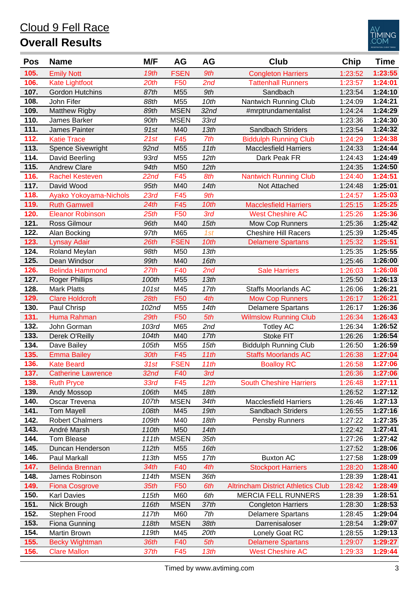#### **105.** Emily Nott *19th* FSEN *9th* Congleton Harriers 1:23:52 **1:23:55 106.** Kate Lightfoot *20th* F50 *2nd* Tattenhall Runners 1:23:57 **1:24:01 107.** Gordon Hutchins *87th* M55 *9th* Sandbach 1:23:54 **1:24:10 108.** John Fifer *88th* M55 *10th* Nantwich Running Club 1:24:09 **1:24:21 109.** Matthew Rigby *89th* MSEN *32nd* #mrptrundamentalist 1:24:24 **1:24:29 110.** James Barker *90th* MSEN *33rd* 1:23:36 **1:24:30 111.** James Painter *91st* M40 *13th* Sandbach Striders 1:23:54 **1:24:32 112.** Katie Trace *21st* F45 *7th* Biddulph Running Club 1:24:29 **1:24:38 113.** Spence Sivewright *92nd* M55 *11th* Macclesfield Harriers 1:24:33 **1:24:44 114.** David Beerling *93rd* M55 *12th* Dark Peak FR 1:24:43 **1:24:49 115.** Andrew Clare *94th* M50 *12th* 1:24:35 **1:24:50 116.** Rachel Kesteven *22nd* F45 *8th* Nantwich Running Club 1:24:40 **1:24:51 117.** David Wood *95th* M40 *14th* Not Attached 1:24:48 **1:25:01 118.** Ayako Yokoyama-Nichols *23rd* F45 *9th* 1:24:57 **1:25:03 119.** Ruth Gamwell *24th* F45 *10th* Macclesfield Harriers 1:25:15 **1:25:25 120.** Eleanor Robinson *25th* F50 *3rd* West Cheshire AC 1:25:26 **1:25:36 121.** Ross Gilmour *96th* M40 *15th* Mow Cop Runners 1:25:36 **1:25:42 122.** Alan Bocking *97th* M65 *1st* Cheshire Hill Racers 1:25:39 **1:25:45 123.** Lynsay Adair *26th* FSEN *10th* Delamere Spartans 1:25:32 **1:25:51 124.** Roland Meylan *98th* M50 *13th* 1:25:35 **1:25:55 125.** Dean Windsor *99th* M40 *16th* 1:25:46 **1:26:00 126.** Belinda Hammond *27th* F40 *2nd* Sale Harriers 1:26:03 **1:26:08 127.** Roger Phillips *100th* M55 *13th* 1:25:50 **1:26:13 128.** Mark Platts *101st* M45 *17th* Staffs Moorlands AC 1:26:06 **1:26:21 129.** Clare Holdcroft *28th* F50 *4th* Mow Cop Runners 1:26:17 **1:26:21 130.** Paul Chrisp *102nd* M55 *14th* Delamere Spartans 1:26:17 **1:26:36 131.** Huma Rahman *29th* F50 *5th* Wilmslow Running Club 1:26:34 **1:26:43 132.** John Gorman *103rd* M65 *2nd* Totley AC 1:26:34 **1:26:52 133.** Derek O'Reilly *104th* M40 *17th* Stoke FIT 1:26:26 **1:26:54 134.** Dave Bailey *105th* M55 *15th* Biddulph Running Club 1:26:50 **1:26:59 135.** Emma Bailey *30th* F45 *11th* Staffs Moorlands AC 1:26:38 **1:27:04 136.** Kate Beard *31st* FSEN *11th* Boalloy RC 1:26:58 **1:27:06 137.** Catherine Lawrence *32nd* F40 *3rd* 1:26:36 **1:27:06 138.** Ruth Pryce *33rd* F45 *12th* South Cheshire Harriers 1:26:48 **1:27:11 139.** Andy Mossop *106th* M45 *18th* 1:26:52 **1:27:12 140.** Oscar Trevena *107th* MSEN *34th* Macclesfield Harriers 1:26:46 **1:27:13 141.** Tom Mayell *108th* M45 *19th* Sandbach Striders 1:26:55 **1:27:16 142.** Robert Chalmers *109th* M40 *18th* Pensby Runners 1:27:22 **1:27:35 143.** André Marsh *110th* M50 *14th* 1:22:42 **1:27:41 144.** Tom Blease *111th* MSEN *35th* 1:27:26 **1:27:42 145.** Duncan Henderson *112th* M55 *16th* 1:27:52 **1:28:06 146.** Paul Markall *113th* M55 *17th* Buxton AC 1:27:58 **1:28:09 147.** Belinda Brennan *34th* F40 *4th* Stockport Harriers 1:28:20 **1:28:40 148.** James Robinson *114th* MSEN *36th* 1:28:39 **1:28:41 149.** Fiona Cosgrove *35th* F50 *6th* Altrincham District Athletics Club 1:28:42 **1:28:49 150.** Karl Davies *115th* M60 *6th* MERCIA FELL RUNNERS 1:28:39 **1:28:51 151.** Nick Brough *116th* MSEN *37th* Congleton Harriers 1:28:30 **1:28:53 152.** Stephen Frood *117th* M60 *7th* Delamere Spartans 1:28:45 **1:29:04 153.** Fiona Gunning *118th* MSEN *38th* Darrenisaloser 1:28:54 **1:29:07 154.** Martin Brown *119th* M45 *20th* Lonely Goat RC 1:28:55 **1:29:13 155.** Becky Wightman *36th* F40 *5th* Delamere Spartans 1:29:07 **1:29:27 156.** Clare Mallon *37th* F45 *13th* West Cheshire AC 1:29:33 **1:29:44 Pos Name M/F AG AG Club Chip Time**

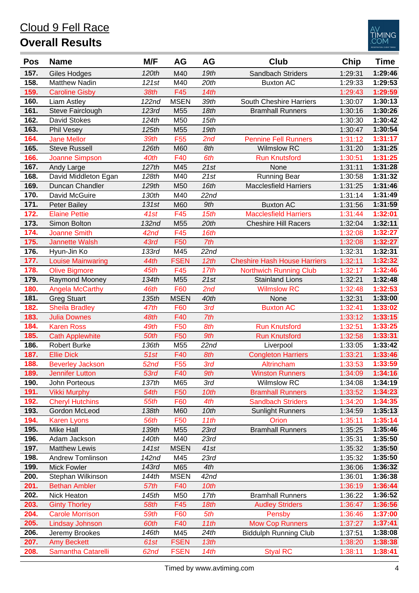

| Pos  | <b>Name</b>              | M/F              | AG                | <b>AG</b>        | Club                                | Chip    | <b>Time</b> |
|------|--------------------------|------------------|-------------------|------------------|-------------------------------------|---------|-------------|
| 157. | <b>Giles Hodges</b>      | 120th            | M40               | 19th             | Sandbach Striders                   | 1:29:31 | 1:29:46     |
| 158. | <b>Matthew Nadin</b>     | 121st            | $\overline{M}$ 40 | 20th             | <b>Buxton AC</b>                    | 1:29:33 | 1:29:53     |
| 159. | <b>Caroline Gisby</b>    | 38th             | F45               | 14th             |                                     | 1:29:43 | 1:29:59     |
| 160. | Liam Astley              | 122nd            | <b>MSEN</b>       | 39th             | South Cheshire Harriers             | 1:30:07 | 1:30:13     |
| 161. | Steve Fairclough         | 123rd            | M55               | 18th             | <b>Bramhall Runners</b>             | 1:30:16 | 1:30:26     |
| 162. | <b>David Stokes</b>      | 124th            | M50               | 15th             |                                     | 1:30:30 | 1:30:42     |
| 163. | Phil Vesey               | 125th            | M55               | 19th             |                                     | 1:30:47 | 1:30:54     |
| 164. | <b>Jane Mellor</b>       | 39th             | F <sub>55</sub>   | 2nd              | <b>Pennine Fell Runners</b>         | 1:31:12 | 1:31:17     |
| 165. | <b>Steve Russell</b>     | 126th            | M60               | 8th              | <b>Wilmslow RC</b>                  | 1:31:20 | 1:31:25     |
| 166. | <b>Joanne Simpson</b>    | 40th             | F40               | 6th              | <b>Run Knutsford</b>                | 1:30:51 | 1:31:25     |
| 167. | Andy Large               | 127th            | M45               | 21st             | None                                | 1:31:11 | 1:31:28     |
| 168. | David Middleton Egan     | 128th            | M40               | 21st             | <b>Running Bear</b>                 | 1:30:58 | 1:31:32     |
| 169. | Duncan Chandler          | 129th            | M50               | 16th             | <b>Macclesfield Harriers</b>        | 1:31:25 | 1:31:46     |
| 170. | David McGuire            | 130th            | M40               | 22nd             |                                     | 1:31:14 | 1:31:49     |
| 171. | <b>Peter Bailey</b>      | 131st            | M60               | 9th              | <b>Buxton AC</b>                    | 1:31:56 | 1:31:59     |
| 172. | <b>Elaine Pettie</b>     | 41st             | F45               | 15th             | <b>Macclesfield Harriers</b>        | 1:31:44 | 1:32:01     |
| 173. | Simon Bolton             | 132nd            | M55               | 20th             | <b>Cheshire Hill Racers</b>         | 1:32:04 | 1:32:11     |
| 174. | <b>Joanne Smith</b>      | 42 <sub>nd</sub> | F45               | 16th             |                                     | 1:32:08 | 1:32:27     |
| 175. | <b>Jannette Walsh</b>    | 43rd             | F50               | 7th              |                                     | 1:32:08 | 1:32:27     |
| 176. | Hyun-Jin Ko              | 133rd            | M45               | 22nd             |                                     | 1:32:31 | 1:32:31     |
| 177. | <b>Louise Mainwaring</b> | 44th             | <b>FSEN</b>       | 12th             | <b>Cheshire Hash House Harriers</b> | 1:32:11 | 1:32:32     |
| 178. | <b>Olive Bigmore</b>     | 45th             | F45               | 17th             | <b>Northwich Running Club</b>       | 1:32:17 | 1:32:46     |
| 179. | Raymond Mooney           | 134th            | M55               | 21st             | <b>Stainland Lions</b>              | 1:32:21 | 1:32:48     |
| 180. | <b>Angela McCarthy</b>   | 46th             | F60               | 2nd              | <b>Wilmslow RC</b>                  | 1:32:48 | 1:32:53     |
| 181. | <b>Greg Stuart</b>       | 135th            | <b>MSEN</b>       | 40th             | None                                | 1:32:31 | 1:33:00     |
| 182. | <b>Sheila Bradley</b>    | 47th             | F60               | 3rd              | <b>Buxton AC</b>                    | 1:32:41 | 1:33:02     |
| 183. | <b>Julia Downes</b>      | 48th             | F40               | 7th              |                                     | 1:33:12 | 1:33:15     |
| 184. | <b>Karen Ross</b>        | 49th             | F50               | 8th              | <b>Run Knutsford</b>                | 1:32:51 | 1:33:25     |
| 185. | <b>Cath Applewhite</b>   | 50th             | F50               | 9th              | <b>Run Knutsford</b>                | 1:32:58 | 1:33:31     |
| 186. | <b>Robert Burke</b>      | 136th            | M55               | 22nd             | Liverpool                           | 1:33:05 | 1:33:42     |
| 187. | <b>Ellie Dick</b>        | 51st             | F40               | 8th              | <b>Congleton Harriers</b>           | 1:33:21 | 1:33:46     |
| 188. | <b>Beverley Jackson</b>  | 52nd             | F <sub>55</sub>   | 3rd              | Altrincham                          | 1:33:53 | 1:33:59     |
| 189. | <b>Jennifer Lutton</b>   | 53rd             | F40               | 9th              | <b>Winston Runners</b>              | 1:34:09 | 1:34:16     |
| 190. | John Porteous            | 137th            | M65               | 3rd              | Wilmslow RC                         | 1:34:08 | 1:34:19     |
| 191. | <b>Vikki Murphy</b>      | 54th             | F50               | 10th             | <b>Bramhall Runners</b>             | 1:33:52 | 1:34:23     |
| 192. | <b>Cheryl Hutchins</b>   | 55th             | F60               | 4th              | <b>Sandbach Striders</b>            | 1:34:20 | 1:34:35     |
| 193. | Gordon McLeod            | 138th            | M60               | 10th             | <b>Sunlight Runners</b>             | 1:34:59 | 1:35:13     |
| 194. | <b>Karen Lyons</b>       | 56th             | F50               | 11th             | Orion                               | 1:35:11 | 1:35:14     |
| 195. | Mike Hall                | 139th            | M55               | 23rd             | <b>Bramhall Runners</b>             | 1:35:25 | 1:35:46     |
| 196. | Adam Jackson             | 140th            | M40               | 23rd             |                                     | 1:35:31 | 1:35:50     |
| 197. | <b>Matthew Lewis</b>     | 141st            | <b>MSEN</b>       | 41st             |                                     | 1:35:32 | 1:35:50     |
| 198. | <b>Andrew Tomlinson</b>  | 142nd            | M45               | 23rd             |                                     | 1:35:32 | 1:35:50     |
| 199. | <b>Mick Fowler</b>       | 143rd            | M65               | 4th              |                                     | 1:36:06 | 1:36:32     |
| 200. | Stephan Wilkinson        | 144th            | <b>MSEN</b>       | 42 <sub>nd</sub> |                                     | 1:36:01 | 1:36:38     |
| 201. | <b>Bethan Ambler</b>     | 57th             | F40               | 10th             |                                     | 1:36:19 | 1:36:44     |
| 202. | Nick Heaton              | 145th            | M50               | 17th             | <b>Bramhall Runners</b>             | 1:36:22 | 1:36:52     |
| 203. | <b>Ginty Thorley</b>     | 58th             | F45               | 18th             | <b>Audley Striders</b>              | 1:36:47 | 1:36:56     |
| 204. | <b>Carole Morrison</b>   | 59th             | F60               | 5th              | Pensby                              | 1:36:46 | 1:37:00     |
| 205. | Lindsay Johnson          | 60th             | F40               | 11th             | <b>Mow Cop Runners</b>              | 1:37:27 | 1:37:41     |
| 206. | Jeremy Brookes           | 146th            | M45               | 24th             | <b>Biddulph Running Club</b>        | 1:37:51 | 1:38:08     |
| 207. | <b>Amy Beckett</b>       | 61st             | <b>FSEN</b>       | 13th             |                                     | 1:38:20 | 1:38:38     |
| 208. | Samantha Catarelli       | 62nd             | <b>FSEN</b>       | 14th             | <b>Styal RC</b>                     | 1:38:11 | 1:38:41     |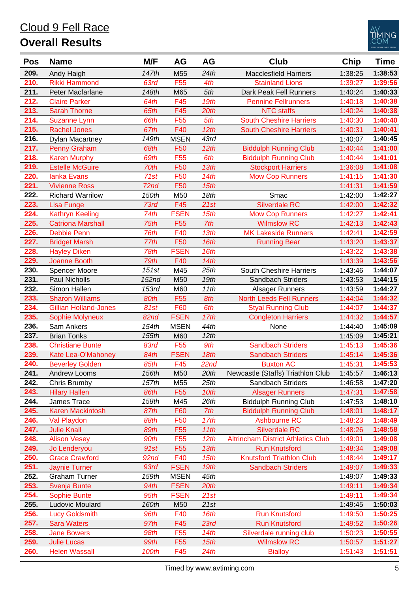#### **209.** Andy Haigh *147th* M55 *24th* Macclesfield Harriers 1:38:25 **1:38:53 210.** Rikki Hammond *63rd* F55 *4th* Stainland Lions 1:39:27 **1:39:56 211.** Peter Macfarlane *148th* M65 *5th* Dark Peak Fell Runners 1:40:24 **1:40:33 212.** Claire Parker *64th* F45 *19th* Pennine Fellrunners 1:40:18 **1:40:38 213.** Sarah Thorne *65th* F45 *20th* NTC staffs 1:40:24 **1:40:38 214.** Suzanne Lynn *66th* F55 *5th* South Cheshire Harriers 1:40:30 **1:40:40 215.** Rachel Jones *67th* F40 *12th* South Cheshire Harriers 1:40:31 **1:40:41 216.** Dylan Macartney *149th* MSEN *43rd* 1:40:07 **1:40:45 217.** Penny Graham *68th* F50 *12th* Biddulph Running Club 1:40:44 **1:41:00 218.** Karen Murphy *69th* F55 *6th* Biddulph Running Club 1:40:44 **1:41:01 219.** Estelle McGuire *70th* F50 *13th* Stockport Harriers 1:36:08 **1:41:08 220.** Ianka Evans *71st* F50 *14th* Mow Cop Runners 1:41:15 **1:41:30 221.** Vivienne Ross *72nd* F50 *15th* 1:41:31 **1:41:59 222.** Richard Warrilow *150th* M50 *18th* Smac 1:42:00 **1:42:27 223.** Lisa Funge *73rd* F45 *21st* Silverdale RC 1:42:00 **1:42:32 224.** Kathryn Keeling *74th* FSEN *15th* Mow Cop Runners 1:42:27 **1:42:41 225.** Catriona Marshall *75th* F55 *7th* Wilmslow RC 1:42:13 **1:42:43 226.** Debbie Penn *76th* F40 *13th* MK Lakeside Runners 1:42:41 **1:42:59 227.** Bridget Marsh *77th* F50 *16th* Running Bear 1:43:20 **1:43:37 228.** Hayley Diken *78th* FSEN *16th* 1:43:22 **1:43:38 229.** Joanne Booth *79th* F40 *14th* 1:43:39 **1:43:56 230.** Spencer Moore *151st* M45 *25th* South Cheshire Harriers 1:43:46 **1:44:07 231.** Paul Nicholls *152nd* M50 *19th* Sandbach Striders 1:43:53 **1:44:15 232.** Simon Hallen *153rd* M60 *11th* Alsager Runners 1:43:59 **1:44:27 233.** Sharon Williams *80th* F55 *8th* North Leeds Fell Runners 1:44:04 **1:44:32 234.** Gillian Holland-Jones *81st* F60 *6th* Styal Running Club 1:44:07 **1:44:37 235.** Sophie Molyneux *82nd* FSEN *17th* Congleton Harriers 1:44:32 **1:44:57 236.** Sam Ankers *154th* MSEN *44th* None 1:44:40 **1:45:09 237.** Brian Tonks *155th* M60 *12th* 1:45:09 **1:45:21 238.** Christiane Bunte *83rd* F55 *9th* Sandbach Striders 1:45:13 **1:45:36 239.** Kate Lea-O'Mahoney *84th* FSEN *18th* Sandbach Striders 1:45:14 **1:45:36 240.** Beverley Golden *85th* F45 *22nd* Buxton AC 1:45:31 **1:45:53 241.** Andrew Looms *156th* M50 *20th* Newcastle (Staffs) Triathlon Club 1:45:57 **1:46:13 242.** Chris Brumby *157th* M55 *25th* Sandbach Striders 1:46:58 **1:47:20 243.** Hilary Hallen *86th* F55 *10th* Alsager Runners 1:47:31 **1:47:58 244.** James Trace *158th* M45 *26th* Biddulph Running Club 1:47:53 **1:48:10 245.** Karen Mackintosh *87th* F60 *7th* Biddulph Running Club 1:48:01 **1:48:17 246.** Val Playdon *88th* F50 *17th* Ashbourne RC 1:48:23 **1:48:49 247.** Julie Knall *89th* F55 *11th* Silverdale RC 1:48:26 **1:48:58 248.** Alison Vesey *90th* F55 *12th* Altrincham District Athletics Club 1:49:01 **1:49:08 249.** Jo Lenderyou *91st* F55 *13th* Run Knutsford 1:48:34 **1:49:08 250.** Grace Crawford *92nd* F40 *15th* Knutsford Triathlon Club 1:48:44 **1:49:17 251.** Jaynie Turner *93rd* FSEN *19th* Sandbach Striders 1:49:07 **1:49:33 252.** Graham Turner *159th* MSEN *45th* 1:49:07 **1:49:33 253.** Svenja Bunte *94th* FSEN *20th* 1:49:11 **1:49:34 254.** Sophie Bunte *95th* FSEN *21st* 1:49:11 **1:49:34 255.** Ludovic Moulard *160th* M50 *21st* 1:49:45 **1:50:03 256.** Lucy Goldsmith *96th* F40 *16th* Run Knutsford 1:49:50 **1:50:25 257.** Sara Waters *97th* F45 *23rd* Run Knutsford 1:49:52 **1:50:26 258.** Jane Bowers *98th* F55 *14th* Silverdale running club 1:50:23 **1:50:55 259.** Julie Lucas *99th* F55 *15th* Wilmslow RC 1:50:57 **1:51:27 260.** Helen Wassall *100th* F45 *24th* Bialloy 1:51:43 **1:51:51 Pos Name M/F AG AG Club Chip Time**

Cloud 9 Fell Race

**Overall Results**

IMING